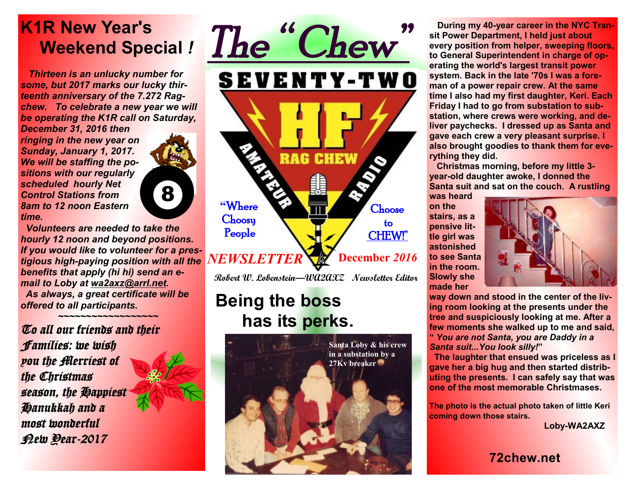## **K1R New Year's Weekend Special** *!*

 *Thirteen is an unlucky number for some, but 2017 marks our lucky thirteenth anniversary of the 7.272 Ragchew. To celebrate a new year we will be operating the K1R call on Saturday,* 

*December 31, 2016 then ringing in the new year on Sunday, January 1, 2017. We will be staffing the positions with our regularly scheduled hourly Net Control Stations from 8am to 12 noon Eastern time.* 



 *Volunteers are needed to take the hourly 12 noon and beyond positions. If you would like to volunteer for a prestigious high-paying position with all the benefits that apply (hi hi) send an email to Loby at wa2axz@arrl.net. As always, a great certificate will be offered to all participants.* 

*To all our friends and their Families: we wish you the Merriest of the Christmas season, the Happiest Hanukkah and a most wonderful New Year-2017*





**Robert W. Lobenstein—WA2AXZ Newsletter Editor** 

## **Being the boss has its perks.**



 **During my 40-year career in the NYC Transit Power Department, I held just about every position from helper, sweeping floors, to General Superintendent in charge of operating the world's largest transit power system. Back in the late '70s I was a foreman of a power repair crew. At the same time I also had my first daughter, Keri. Each Friday I had to go from substation to substation, where crews were working, and deliver paychecks. I dressed up as Santa and gave each crew a very pleasant surprise. I also brought goodies to thank them for everything they did.** 

**Christmas morning, before my little 3 year-old daughter awoke, I donned the Santa suit and sat on the couch. A rustling** 

**was heard on the stairs, as a pensive little girl was astonished to see Santa in the room. Slowly she made her** 



**way down and stood in the center of the living room looking at the presents under the tree and suspiciously looking at me. After a few moments she walked up to me and said, "** *You are not Santa, you are Daddy in a Santa suit...You look silly!***"** 

 **The laughter that ensued was priceless as I gave her a big hug and then started distributing the presents. I can safely say that was one of the most memorable Christmases.** 

**The photo is the actual photo taken of little Keri coming down those stairs.** 

 **Loby-WA2AXZ** 

**72chew.net**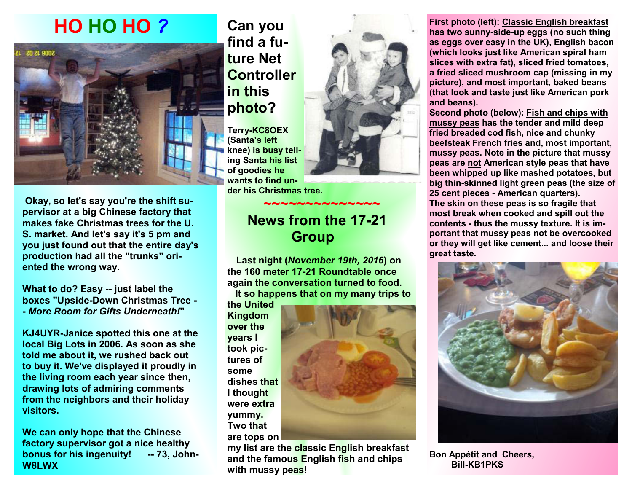# **HO HO HO** *?*



 **Okay, so let's say you're the shift supervisor at a big Chinese factory that makes fake Christmas trees for the U. S. market. And let's say it's 5 pm and you just found out that the entire day's production had all the "trunks" oriented the wrong way.** 

**What to do? Easy -- just label the boxes "Upside-Down Christmas Tree - -** *More Room for Gifts Underneath!***"** 

**KJ4UYR-Janice spotted this one at the local Big Lots in 2006. As soon as she told me about it, we rushed back out to buy it. We've displayed it proudly in the living room each year since then, drawing lots of admiring comments from the neighbors and their holiday visitors.** 

**We can only hope that the Chinese factory supervisor got a nice healthy bonus for his ingenuity! -- 73, John-W8LWX**

### **Can you find a future Net Controller in this photo?**

**Terry-KC8OEX (Santa's left knee) is busy telling Santa his list of goodies he wants to find under his Christmas tree.** 

#### **~~~~~~~~~~~~~~ News from the 17-21 Group**

 **Last night (***November 19th, 2016***) on the 160 meter 17-21 Roundtable once again the conversation turned to food. It so happens that on my many trips to** 

**the United Kingdom over the years I took pictures of some dishes that I thought were extra yummy. Two that are tops on** 



**my list are the classic English breakfast and the famous English fish and chips with mussy peas!** 

**First photo (left): Classic English breakfast has two sunny-side-up eggs (no such thing as eggs over easy in the UK), English bacon (which looks just like American spiral ham slices with extra fat), sliced fried tomatoes, a fried sliced mushroom cap (missing in my picture), and most important, baked beans (that look and taste just like American pork and beans).** 

**Second photo (below): Fish and chips with mussy peas has the tender and mild deep fried breaded cod fish, nice and chunky beefsteak French fries and, most important, mussy peas. Note in the picture that mussy peas are not American style peas that have been whipped up like mashed potatoes, but big thin-skinned light green peas (the size of 25 cent pieces - American quarters). The skin on these peas is so fragile that most break when cooked and spill out the contents - thus the mussy texture. It is important that mussy peas not be overcooked or they will get like cement... and loose their great taste.** 



**Bon Appétit and Cheers, Bill-KB1PKS**